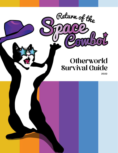# **Otherworld** Survival Guide

Return of the

2022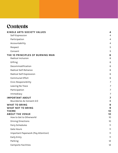# **Contents**

| KINDLE ARTS SOCIETY VALUES<br>Self-Expression         | 4<br>4         |
|-------------------------------------------------------|----------------|
| Participation                                         | $\overline{4}$ |
| Accountability                                        | 4              |
| Respect                                               | 5              |
| Consent                                               | 5              |
| THE 10 PRINCIPLES OF BURNING MAN<br>Radical Inclusion | 6<br>6         |
| Gifting                                               | 6              |
| Decommodification                                     | 6              |
| Radical Self-Reliance                                 | 6              |
| Radical Self-Expression                               | 6              |
| <b>Communal Effort</b>                                | 6              |
| Civic Responsibility                                  | 7              |
| Leaving No Trace                                      | 7              |
| Participation                                         | 7              |
| Immediacy                                             | 7              |
| <b>IMPORTANT ABOUT</b>                                | 7              |
| Boundaries & Consent 2.0                              | 8              |
| <b>WHAT TO BRING</b><br><b>WHAT NOT TO BRING</b>      | 9<br>9         |
| <b>THEME</b>                                          | 10             |
| <b>ABOUT THE VENUE</b>                                | 10             |
| How to Get to Otherworld                              | 10             |
| Driving Directions                                    | 10             |
| Ferry Schedules                                       | 11             |
| <b>Gate Hours</b>                                     | 11             |
| Important Paperwork (Pay Attention)                   | 11             |
| Early Entry                                           | 11             |
| Parking                                               | 12             |
| Campsite Facilities                                   | 12             |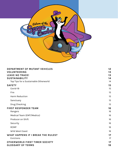

| DEPARTMENT OF MUTANT VEHICLES         | 12 |
|---------------------------------------|----|
| VOLUNTEERING                          | 13 |
| <b>LEAVE NO TRACE!</b>                | 13 |
| <b>SUSTAINABILITY</b>                 | 14 |
| Top Tips for a Sustainable Otherworld | 14 |
| <b>SAFETY</b>                         | 15 |
| Covid-19                              | 15 |
| Fire                                  | 15 |
| <b>Harm Reduction</b>                 | 15 |
| Sanctuary                             | 15 |
| Drug Checking                         | 15 |
| <b>FIRST RESPONDER TEAM</b>           | 16 |
| Rangers                               | 16 |
| Medical Team (EMT/Medics)             | 16 |
| Producer on Shift                     | 16 |
| Security                              | 16 |
| <b>RCMP</b>                           | 16 |
| Wild West Coast                       | 16 |
| WHAT HAPPENS IF I BREAK THE RULES?    | 17 |
| Evictions                             | 17 |
| OTHERWORLD FIRST TIMER SOCIETY        | 17 |
| <b>GLOSSARY OF TERMS</b>              | 18 |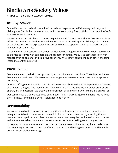# <span id="page-3-0"></span>Kindle Arts Society Values

KINDLE ARTS SOCIETY VALUES (SPARC)

## Self-Expression

Our self-expression exists in pursuit of unmediated experience, self-discovery, intimacy, and lifelong play. This is the nucleus around which our community forms. Without the pursuit of selfexpression, we do not exist.

We encourage the articulation of one's unique inner self through art and play. To create art is to affirm one's existence. Art does not belong to an elite group with special abilities, skills, training, or social access. Artistic expression is essential to human happiness, and self-expression is the very fabric of human life.

We cherish self-expression and freedom of identity without judgement. We call upon each other to express ourselves with compassion and respect for others. We pursue self-expression with respect given to personal and collective autonomy. We eschew controlling each other, choosing instead to control ourselves.

## Participation

Everyone is welcomed with the opportunity to participate and contribute. There is no audience. Everyone is a participant. We welcome the stranger, embrace newcomers, and actively pursue hospitality.

Ours is a gifting culture in which participants freely contribute without the expectation of reward or payment. Our gifts take many forms. We recognize that if we give the gift of our time, effort, energy, art, and passion – we create an environment of abundance, where there is plenty for all.

Our community is a do-ocracy: if you see a need – fill it. If there is a job to be done – do it. If you don't like how something is done – volunteer to do it better.

## Accountability

We are responsible for our own actions, emotions, and experiences – and are committed to being accountable for them. We strive to minimize our impact on others by ensuring that our own emotional, spiritual, and physical needs are met. We recognize our limitations and commit within them. We take advantage of our own resources before seeking community support.

In keeping our commitments, we trust others to meet the commitments they have made to us. We do not expect others to clean up after us – our trash and belongings (physical and mental) are our responsibility to manage.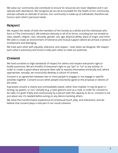<span id="page-4-0"></span>We value our community and contribute to ensure its resources are never depleted and it can operate with abundance. We recognize we are all accountable for the health of our community, and we cultivate an attitude of service. Our community is made up of individuals; therefore we honour each other's personal needs.

## Respect

We respect the needs of both the members of the Society as a whole and the individuals who form it ("The Community"). We embrace diversity in all of its forms, including but not limited to: class, wealth, religion, race, sexuality, gender, sex, age, physical ability, place of origin, and more. We seek to create an environment of tolerance and mutual support where we all have a sense of involvement and belonging.

We treat each other with equality, tolerance, and respect – even when we disagree. We respect each other's autonomy and strive to help each other to meet our potential.

### Consent

We hold ourselves to high standards of respect for others and respect everyone's right to bodily autonomy. We are mindful of everyone's right to say "yes" or "no" to any activity. In order to create a space where everyone feels safe to express themselves artistically and, where appropriate, sexually, we consciously develop a culture of consent.

Consent is an agreement between two or more people to engage or not engage in specific activities together. Consent occurs when people voluntarily agree to the proposal or desires of the other.

Expressed consent is clearly and unmistakably stated, rather than implied. It may be given in writing, by speech, or non- verbally (e.g. a clear gesture such as a nod). In order for consent to be valid, it is given freely and continuously by a person with the capacity to do so. Consent is not just about sex; it's needed before acting on any desire involving others.

We value the transformative experience of consensual touch, play, and interaction, and we believe that consent plays a vital part in our social cohesion.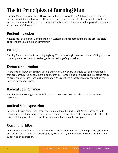# <span id="page-5-0"></span>The 10 Principles of Burning Man

Burning Man co-founder Larry Harvey wrote the Ten Principles in 2004 as guidelines for the newly-formed Regional Network. They were crafted not as a dictate of how people should be and act, but as a reflection of the community's ethos and culture as it had organically developed since the event's inception.

## Radical Inclusion

Anyone may be a part of Burning Man. We welcome and respect strangers. No prerequisites exist for participation in our community.

## **Gifting**

Burning Man is devoted to acts of gift-giving. The value of a gift is unconditional. Gifting does not contemplate a return or an exchange for something of equal value.

### Decommodification

In order to preserve the spirit of gifting, our community seeks to create social environments that are unmediated by commercial sponsorships, transactions, or advertising. We stand ready to protect our culture from such exploitation. We resist the substitution of consumption for participatory experience.

## Radical Self-Reliance

Burning Man encourages the individual to discover, exercise and rely on his or her inner resources.

## Radical Self-Expression

Radical self-expression arises from the unique gifts of the individual. No one other than the individual or a collaborating group can determine its content. It is offered as a gift to others. In this spirit, the giver should respect the rights and liberties of the recipient.

## Communal Effort

Our community values creative cooperation and collaboration. We strive to produce, promote and protect social networks, public spaces, works of art, and methods of communication that support such interaction.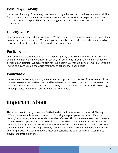# <span id="page-6-0"></span>Civic Responsibility

We value civil society. Community members who organize events should assume responsibility for public welfare and endeavour to communicate civic responsibilities to participants. They must also assume responsibility for conducting events in accordance with local, state and federal laws.

## Leaving No Trace

Our community respects the environment. We are committed to leaving no physical trace of our activities wherever we gather. We clean up after ourselves and endeavour, whenever possible, to leave such places in a better state than when we found them.

# Participation

Our community is committed to a radically participatory ethic. We believe that transformative change, whether in the individual or in society, can occur only through the medium of deeply personal participation. We achieve being through doing. Everyone is invited to work. Everyone is invited to play. We make the world real through actions that open hearts.

# Immediacy

Immediate experience is, in many ways, the most important touchstone of value in our culture. We seek to overcome barriers that stand between us and a recognition of our inner selves, the reality of those around us, participation in society, and contact with a natural world exceeding human powers. No idea can substitute for this experience.

# Important About

**This event is not a party, rave, or a festival in the traditional sense of the word.** The key difference between those and this event is, following the principle of decommodification, nobody's making any money or realizing any benefit here. All 'staff' are volunteers, and revenue surplus to event operational costs go back into the Kindle Arts Society to fund arts grants and other society programs. This small but important distinction is what sets this event apart from the multitude of others that happen every summer. Otherworld creates a unique environment where a participatory community of artistic expression is the goal rather than a commercedriven consumer experience.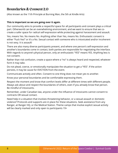### <span id="page-7-0"></span>Boundaries & Consent 2.0

(Also known as the 11th Principle at Burning Man, the 5th at Kindle Arts)

#### **This is important so we are going over it again.**

Our community aims to provide a respectful space for all participants and consent plays a critical part. Otherworld can be an overwhelming environment, and we want to ensure that we cocreate a safer space for radical self-expression while protecting against harassment and assault.

Yes, means Yes. No means No. Anything other than Yes, means No. Enthusiastic consent is either "Fuck Yes!" or it's a No. Sexual contact with someone who is intoxicated and/or incoherent is not sexy. It is assault!

There are also many diverse participants present, and where one person's self-expression and another's boundaries come in contact, both parties are responsible for negotiating the interface. With regards to anyone's physical person, only an enthusiastic "YES" means YES. Anything less is not consent.

Rather than risk confusion, create a space where a "no" is always heard and respected, whatever form it may take.

Do not plead, coerce, or emotionally manipulate the situation to get a "YES". If the action persists, it may be cause for EVICTION from the event.

Communicate actively and often. Consent to one thing does not mean yes to another.

Know your personal boundaries and be comfortable expressing them.

Respect the moment and know that comfort levels differ at different times with different people. Always ask about and respect the boundaries of others, even if you already know that person. Be mindful of intoxicants.

Remember, under Canadian law, anyone under the influence of intoxicants cannot consent to contracts OR sexual contact.

Need help in a situation that involves threatening behavior, or a sexual assault or domestic violence? Protocols and supports are in place for these situations. Seek assistance from any Ranger, at Ranger HQ, or the Medical Station. Theme camps that involve explicit sexual activity will be clearly marked and only open to participants 19+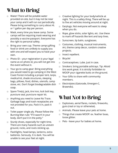# <span id="page-8-0"></span>What to Bring

- □ Water! There will be potable water provided on-site, but it may not be near your camp and it will run out periodically. Please bring something to carry about 4L or 1 gallon per day per person.
- □ Mask, every time you leave camp. Some camps will be requiring mask wearing and possibly a vaccine passport. Everyone has the right to personal safety.
- $\Box$  Bring your own cup. Theme camps gifting food or drink are unlikely to supply you with one and will expect you to have your own.
- $\Box$  Photo ID your registration is your legal name as on photo id, you will not get into the event without it.
- □ Your go-to camp gear: Bring everything you would need to go camping in the West Coast Forest including a proper tent, tarps, medical kit, shade structures, sleeping bags, pillows, food, dishes, utensils, camp stove, etc. Don't forget biodegradable dish soap.
- $\Box$  Spare Tire(s), jack, tire iron, lock bolt key, puncture seal, puncture repair kit.
- □ Anything you need to Leave No Trace. Garbage bags and trash receptacles are not provided for you. Pack it in, pack it out.
- $\Box$  Toilet paper single ply. Please follow the Burning Man rule: "If it wasn't in your body, don't put it in the potty."
- $\Box$  Sturdy shoes, especially for night time. There are many hazards such as uneven ground, rocks, and roots sticking up.
- □ Flashlights, head-lamps, lanterns, extra batteries. Seriously. It is dark. You will be unable to see your feet at night.
- □ Creative lighting for your body/vehicle at night. This is a safety thing. There will be up to five art vehicles moving around at night.
- □ Earplugs. Not everyone will want to sleep when you do.
- □ Rope, glow sticks, solar lights, etc. Use these to mark off hazards like tent and tarp lines.
- □ Sunscreen, lip balm, sunglasses.
- □ Costumes, clothing, musical instruments, Art, theme camp decor, random creative projects.
- □ Insect repellent.
- □ Bicycle!
- □ Contraceptives. Lube. Just in case.
- □ Smokers: bring portable ashtrays. Tip: Altoid tins work great. It is strictly forbidden to MOOP your cigarette butts on the ground.
- □ Your Gifts to share with community members.
- □ Electrolytes (Gatorade, Emergen-C, Brawndo).

# What Not to Bring

- □ Explosives, aerial flares, rockets, fireworks, guns (real or toy or otherwise).
- □ Animals. Please leave your pets at home.
- □ Things that create MOOP: ex. feather boas, loose glitter.
- □ Pets leave your fur babies at home.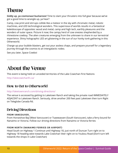# <span id="page-9-0"></span>Theme

**Giddy up, ya cosmonaut buckaroos!** Time to slam your thrusters into full gear because we've got a good time to wrangle up, ya hear?

Camp, cow print and stirrups collide like a meteor in the sky with chromatic metal, robotic machines, and LED technological wonders. This supernova of worlds results in a fantastical kaleidoscope of opposites: wood and metal, camp and high tech, earthly pleasures and the wonders of outer space. Picture it now; the campy herd of cow onesies shepherded by a rhinestone cowboy. The alien creatures emerging from the unknown to share in our terrestrial experience. Shiny holographic LED art glistening in the sun of our honky tonk gathering in this Otherworld.

Charge up your bubble blasters, get out your assless chaps, and prepare yourself for a legendary journey through the cosmos to an intergalactic rodeo.

See you later, Space Cowboi

# About the Venue

This event is being held on unceded territories of the Lake Cowichan First Nations

<http://lakecowichanfn.ca/>

## How to Get to Otherworld

#### <http://laketownranch.com/driving-directions/>

The venue is accessed by getting to Laketown Ranch and taking the private road IMMEDIATELY ADJACENT to Laketown Ranch. Seriously, drive another 200 feet past Laketown then turn Right on Teleglobe Canada Rd.

### Driving Directions

#### FROM VANCOUVER:

From Horseshoe Bay (West Vancouver) or Tsawwassen (South Vancouver), take a ferry bound for Nanaimo or Victoria. Follow our driving directions from Nanaimo or Victoria ferries

#### FROM NORTH (NANAIMO FERRIES OR AIRPORT)

Head South on Highway 1 Continue until Highway 18, just north of Duncan Turn right on to Highway 18 heading west towards Lake Cowichan Veer right on to Youbou Road (Don't turn left towards the shops in Lake Cowichan)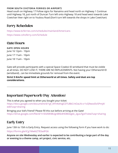#### <span id="page-10-0"></span>FROM SOUTH (VICTORIA FERRIES OR AIRPORT)

Head south on Highway 17 Follow signs for Nanaimo and head north on Highway 1 Continue until Highway 18, just north of Duncan Turn left onto Highway 18 and head west towards Lake Cowichan Veer right on to Youbou Road (Don't turn left towards the shops in Lake Cowichan)

## Ferry Schedules

<https://www.bcferries.com/schedules/mainland/Americans> <https://www.cohoferry.com/Schedule>

## Gate Hours

### GATE OPEN HOURS

June 16 12pm - 10pm June 17 11am - 10pm June 18 11am - 10pm

Gate will provide participants with a special Space Cowboi ID wristband that must be visible at all times. DO NOT LOSE IT, THERE ARE NO REPLACEMENTS. Not having your Otherworld ID (wristband) , can be immediate grounds for removal from the event.

#### **Strict 5 Km/hr speed limit at Otherworld at all times. Safety and dust are top considerations.**

### Important Paperwork (Pay Attention)

This is what you agreed to when you bought your ticket: [https://docs.google.com/document/d/1gf\\_I4YnKehqJCDTUBkCritOaLN-cr1vQ9wod3v5Pmj4/](https://docs.google.com/document/d/1gf_I4YnKehqJCDTUBkCritOaLN-cr1vQ9wod3v5Pmj4/edit?usp=sharing) [edit?usp=sharing](https://docs.google.com/document/d/1gf_I4YnKehqJCDTUBkCritOaLN-cr1vQ9wod3v5Pmj4/edit?usp=sharing)

Bringing your kid's friend? Please fill this out before arriving at the Gate! https://drive.google.com/file/d/1t1EAAW48Ugn8Kb4HDBDegdx\_2guLFgoF/view?usp=sharing

# Early Entry

June 13th to 15th is Early Entry. Request access using the following form if you have work to do: <https://forms.gle/iCg1Mw6tZ783adFG6>

**Anyone on site Wednesday and earlier is expected to be contributing a large part of the day or evening to a theme camp, art project, civic service, etc.**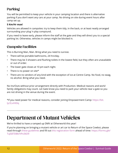# <span id="page-11-0"></span>Parking

You will be permitted to keep your vehicle in your camping location and there is alternative parking if you don't want any cars at your camp. No driving on site during event hours after camp set up.

### **5 Km/Hr max!**

Vehicles are allowed in campsites: try to keep them tidy, in the back, or at least neatly arranged surrounding your plug 'n play compound.

If you need to leave early, please inform the staff at the gate and they will direct you to a special parking lot. Otherwise, vehicles in camps might be blocked in.

### Campsite Facilities

This is Burning Man, Man. Bring what you need to survive.

- There will be portable bathrooms, 24 hrs/day.
- There may be 3 showers and flushing toilets in the lowest field, but they often are unavailable or out of order.
- The lower gate closes at 10 pm each night.
- There is no power on site\*
- There are no vendors of any kind with the exception of ice at Centre Camp. No food, no swag, no alcohol. Bring what you need.

No Ins/Outs without prior arrangement directly with Production. Medical reasons and work/ family obligations may count. Let Gate know you need to park your vehicle near a gate so you are not driving in the venue during the event.

\*If you need power for medical reasons, consider joining Empowerment Camp: https://bit. ly/2LxHX0q

# Department of Mutant Vehicles

We're thrilled to have a ramped up DMV at Otherworld this year!

If you're planning on bringing a mutant vehicle or art car to Return of the Space Cowboi, please read through [these guidelines](https://drive.google.com/file/d/163-v5ltvXkUB5MFMWwyTMnjIR9OTsFso/view?usp=sharing) and fill out [this registration form](https://forms.gle/TuJS87DBkrhPo3kD9) ahead of time: [https://forms.gle/](https://forms.gle/TuJS87DBkrhPo3kD9) [TuJS87DBkrhPo3kD9](https://forms.gle/TuJS87DBkrhPo3kD9)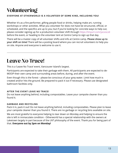# <span id="page-12-0"></span>Volunteering

### EVERYONE AT OTHERWORLD IS A VOLUNTEER OF SOME KIND, INCLUDING YOU!

Whether it's as a fire performer, gifting people food or drinks, helping make art, running workshops or other activities. What you volunteer for does not have be structured, official, or scheduled, and the specifics are up to you; but if you're looking for concrete ways to help out, please consider signing up for a production volunteer shift through <https://tinyurl.com/yxcxsczd> before the event, or heading to the volunteer tent at Centre Camp to sign up that day.

There will be a master copy of all volunteer shifts and info at Centre camp. **Please show up to your shift on time!** There will be a posting board where you can recruit volunteers to help you on site. Anyone and everyone is welcome to use it.

# Leave No Trace!

This is a 'Leave No Trace' event, Vancouver Island's largest.

Participants are expected to take their garbage with them. All participants are expected to de-MOOP their own camp and surrounding areas before, during, and after the event.

Even though this is the forest – please be conscious of your grey water. Limit how much is created and/or hits the ground. Be prepared to pack it out if necessary. Please use designated bathroom facilities only.

#### AFTER THE EVENT LEAVE NO TRACE!

Do not leave anything behind, including compostables. Leave your campsite cleaner than you found it.

#### GARBAGE AND RECYCLING

Pack it in, pack it out! Do not leave anything behind, including compostables. Please plan to leave your campsite cleaner than you found it. There are no garbage or recycling bins available on site.

We are most grateful to everyone helping to tear down on Monday and helping to ensure the site is left in immaculate condition - Otherworld has a special relationship with the owners at Laketown largely in part because of the LNT philosophy of the event. Thank you for being part of that. **Everyone out by 2pm on Monday!**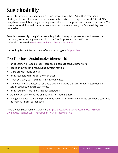# <span id="page-13-0"></span>Sustainability

Your Otherworld Sustainability team is hard at work with the DPW putting together an electrifying lineup of renewable energy to rock the party from this year onward. After 2021's nasty heat dome, it is no longer socially acceptable to throw gasoline at our electrical needs. We have a responsibility to do better as artists and as culture makers; your Sustainability team is here to help!

**Solar is the new big thing!** Otherworld is quickly phasing out generators, and to ease the transition, we're hosting a solar workshop at The Empress at 1pm on Friday. We've also prepared a [Beginner's Guide to Cheap Solar Power](https://www.instructables.com/-Solar-Power-at-Burning-Man-or-Just-Camping
).

**Carpooling is cool!** Find a ride or offer a ride using our C[arpool Board](https://docs.google.com/spreadsheets/d/14MRfXRjUQ0P0AzbqjYut4MKVibeeyDP-lBE4gecparc/edit?usp=sharing).

## Top Tips for a Sustainable Otherworld

- Bring your own reusable cup!! There are no garbage cans at Otherworld.
- Reuse or buy second-hand. Don't buy fast fashion.
- Make art with found objects.
- Bring reusable items to cut down on trash.
- Trash you carry out is still trash. Limit your waste!
- Mind your moop (matter out of place), avoid wardrobe elements that can easily fall off, glitter, sequins, feathers stay home.
- Bring your solar! We're phasing out generators.
- Attend our solar workshop on Friday at 1pm at the Empress.
- Energy audit your camp and prune away power pigs like halogen lights. Use your creativity to do more with less, burner style!

Read the full Sustainability Guide here: [https://docs.google.com/document/d/1P5SyUn](https://docs.google.com/document/d/1P5SyUn-uPPEBOjlZ2Fa5hs0bL2SFT-y6lyqB08hH_wc/edit?usp=sharing)[uPPEBOjlZ2Fa5hs0bL2SFT-y6lyqB08hH\\_wc/edit?usp=sharing](https://docs.google.com/document/d/1P5SyUn-uPPEBOjlZ2Fa5hs0bL2SFT-y6lyqB08hH_wc/edit?usp=sharing)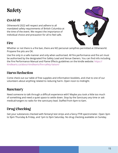# <span id="page-14-0"></span>**Safety**

# Covid-19

Otherworld 2022 will respect and adhere to all mandated safety requirements of British Columbia at the time of the event. We respect the importance of individual choice and precaution for all to feel safe.



### **Fire**

Whether or not there is a fire ban, there are NO personal campfires permitted at Otherworld. Propane fire pits are OK.

Use fire only in a safe manner and only when authorised. All fire performance and fire art must be authorised by the designated Fire Safety Lead and Venue Owners. You can find info including the Fire Performance Manual and Flame Effects guidelines on the kindle website: [https://](https://kindlearts.ca/about-kindlearts/fire-safety-liaison/ ) [kindlearts.ca/about-kindlearts/fire-safety-liaison/](https://kindlearts.ca/about-kindlearts/fire-safety-liaison/ )

## Harm Reduction

Come check out our table of free supplies and information booklets, and chat to one of our volunteers about anything related to reducing harm. Open noon to midnight.

# Sanctuary

Need someone to talk through a difficult experience with? Maybe you took a little too much of something and need a quiet space to settle down. Stop by the Sanctuary any time or ask medical/rangers to radio for the sanctuary lead. Staffed from 6pm to 6am.

# Drug Checking

Get your substances checked with fentanyl test strips and a fancy FTIR spectrometer. Open 3pm to 9pm Thursday & Friday, and 1pm to 9pm Saturday. No drug checking available on Sunday.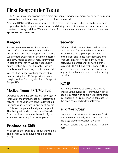# <span id="page-15-0"></span>First Responder Team

IN GENERAL, if you see anyone with a radio and you are having an emergency or need help, you can ask them and they can get you the assistance you need.

Also, say THANK YOU to anyone you see with a radio. This person is choosing to be sober and responsible, likely has put in hours before and during the event to make sure our community is safe and has a good time. We are a culture of volunteers, and we are a culture who loves and appreciates said volunteers!

# Rangers

Rangers volunteer some of our time as non-confrontational community mediators, encouraging and facilitating communication. We promote awareness of potential hazards, and carry radios to quickly relay information in case of emergency. We are not security guards, babysitters, nor fun-police, we are simply available, and only assist when needed.

You can find Rangers walking the event in pairs wearing blue BC Rangers t-shirts and carrying radios. You may also find a Ranger at Ranger HQ.

# Medical Team (EMT/Medics)

Otherworld will have professional Emergency First Aid at the event. Please be 'radically selfreliant' – bring your own band- aids/first aid kit, drink your electrolytes, and don't overdo it. Take care of yourself and your campmates. That being said – Medics are there if needed. Grab the closest person with a radio if you or someone needs help in an emergency.

# Producer on Shift

At all times, there will be a Producer available. This person will also have a radio and can assist.

## **Security**

Otherworld will have professional Security services hired for the weekend. They are mostly there to keep non-participants out of the event and to assist the Rangers and Producer on Shift if needed. If you need help, have an emergency or have a crime to report PLEASE FIRST grab a Ranger. They are best equipped to assist and coordinate any additional resources up to and including security.

## **RCMP**

RCMP are welcome to peruse the site and check out the event, but if they have not yet been in contact with or are not accompanied by Rangers or a Producer on Shift please let the nearest radioed individual know.

## Wild West Coast

Keep your campsite clean. Don't leave food out or in your tent. Elk, Bears, and Cougars of the large cat variety wander the area.

All local, regional and federal laws still apply here.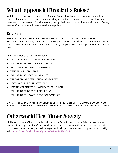# <span id="page-16-0"></span>What Happens if I Break the Rules?

Violation of any policies, including the Code of Conduct, will result in corrective action from the event leadership team, up to and including, immediate removal from the event (without recourse or compensation) and potentially being disallowed to attend future Kindle Arts Society events. Criminal acts will be reported to the police.

# Evictions

### THE FOLLOWING OFFENCES CAN GET YOU KICKED OUT, SO DON'T DO THEM.

Evictions can be made by a Ranger Lead in conjunction with a Production team member OR by the Landowner and are FINAL. Kindle Arts Society complies with all local, provincial, and federal laws.

Offences include but are not limited to:

- NO OTHERWORLD ID OR PROOF OF TICKET.
- FAILURE TO RESPECT THE EVENT HOST.
- PHOTOGRAPHY WITHOUT PERMISSION.
- VENDING OR COMMERCE.
- FAILURE TO RESPECT BOUNDARIES.
- VANDALISM OR DESTRUCTION OF PROPERTY.
- LEAVING CHILDREN UNATTENDED.
- SETTING OFF FIREWORKS WITHOUT PERMISSION.
- FAILURE TO ABIDE BY THE FIRE POLICY.
- FAILURE TO FOLLOW THE CODE OF CONDUCT.

BY PARTICIPATING IN OTHERWORLD 2022. THE RETURN OF THE SPACE COWBOI, YOU AGREE TO ABIDE BY ALL RULES AND FOLLOW ALL GUIDELINES IN THIS SURVIVAL GUIDE.

# Otherworld First Timer Society

Still have questions? Join us on the Otherworldian's First Timer society. Whether you're a veteran burner attending your first Otherworld, or are completely new to these kinds of events entirely, volunteers there are ready to welcome you and help get you oriented! No question is too silly to ask.<https://www.facebook.com/groups/262161984209094>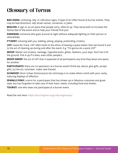# <span id="page-17-0"></span>Glossary of Terms

**BAD SIGNS:** confusing, silly, or ridiculous signs. A type of art often found at burner events. They may be bad directions, silly street names, nonsense, or jokes.

**BEACON:** A sign or an art piece that people carry, often lit up. They serve both to increase the festive feel of the event and to help your friends find you!

**DARKWAD:** someone who goes around at night without adequate lighting on their person or vehicle/bike

**F\*CKERY:** messing with you, kidding, joking, playing, pretending, trickery.

**LNT:** Leave No Trace. LNT refers both to the ethos of leaving a space better than we found it and to the act of cleaning up during and after the event. E.g. "I'm gonna do a quick LNT"

**MOOP:** Matter out of place. Garbage, Cigarette butts, glitter, feathers, your keys- Don't let it hit the ground. Pick it up if it does, even other people's.

**MOOP-SWEEP:** the act of LNT that is expected of all participants any time they leave one space for another

**PARTICIPANTS:** there are no spectators at a burner event! Drink tea, dance, give gifts, accept gifts, try the art, volunteer, make new friends!

**SCHMOOP:** (from Urban Dictionary) to be schmoopy is to make others vomit with your cavity inducing displays of affection.

**SPARKLE PONY:** a term for a participant that has shown up in fabulous costumes and great style, but has forgotten to take care of their basic needs, including food and shelter.

**TOURIST:** one who does not participate at a burner event.

Read the rest here: <https://burningman.org/culture/glossary/>